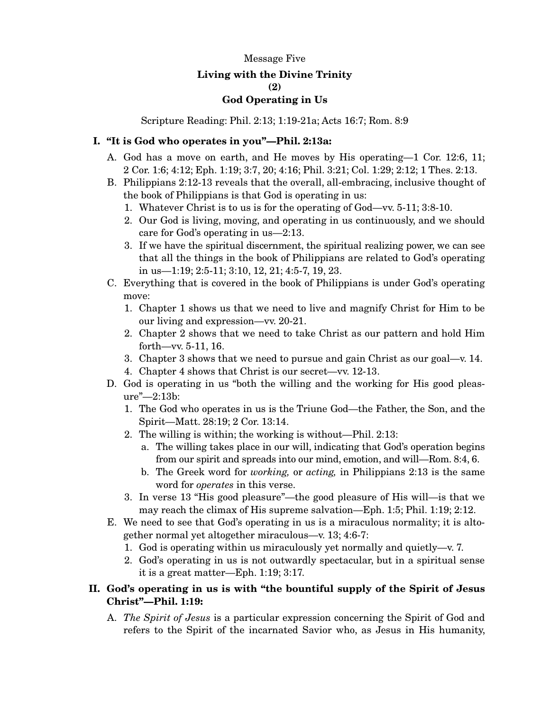#### Message Five

# **Living with the Divine Trinity**

#### **(2)**

### **God Operating in Us**

Scripture Reading: Phil. 2:13; 1:19-21a; Acts 16:7; Rom. 8:9

## **I. "It is God who operates in you"—Phil. 2:13a:**

- A. God has a move on earth, and He moves by His operating—1 Cor. 12:6, 11; 2 Cor. 1:6; 4:12; Eph. 1:19; 3:7, 20; 4:16; Phil. 3:21; Col. 1:29; 2:12; 1 Thes. 2:13.
- B. Philippians 2:12-13 reveals that the overall, all-embracing, inclusive thought of the book of Philippians is that God is operating in us:
	- 1. Whatever Christ is to us is for the operating of God—vv. 5-11; 3:8-10.
	- 2. Our God is living, moving, and operating in us continuously, and we should care for God's operating in us—2:13.
	- 3. If we have the spiritual discernment, the spiritual realizing power, we can see that all the things in the book of Philippians are related to God's operating in us—1:19; 2:5-11; 3:10, 12, 21; 4:5-7, 19, 23.
- C. Everything that is covered in the book of Philippians is under God's operating move:
	- 1. Chapter 1 shows us that we need to live and magnify Christ for Him to be our living and expression—vv. 20-21.
	- 2. Chapter 2 shows that we need to take Christ as our pattern and hold Him forth—vv. 5-11, 16.
	- 3. Chapter 3 shows that we need to pursue and gain Christ as our goal—v. 14.
	- 4. Chapter 4 shows that Christ is our secret—vv. 12-13.
- D. God is operating in us "both the willing and the working for His good pleasure"—2:13b:
	- 1. The God who operates in us is the Triune God—the Father, the Son, and the Spirit—Matt. 28:19; 2 Cor. 13:14.
	- 2. The willing is within; the working is without—Phil. 2:13:
		- a. The willing takes place in our will, indicating that God's operation begins from our spirit and spreads into our mind, emotion, and will—Rom. 8:4, 6.
		- b. The Greek word for *working,* or *acting,* in Philippians 2:13 is the same word for *operates* in this verse.
	- 3. In verse 13 "His good pleasure"—the good pleasure of His will—is that we may reach the climax of His supreme salvation—Eph. 1:5; Phil. 1:19; 2:12.
- E. We need to see that God's operating in us is a miraculous normality; it is altogether normal yet altogether miraculous—v. 13; 4:6-7:
	- 1. God is operating within us miraculously yet normally and quietly—v. 7.
	- 2. God's operating in us is not outwardly spectacular, but in a spiritual sense it is a great matter—Eph. 1:19; 3:17.

# **II. God's operating in us is with "the bountiful supply of the Spirit of Jesus Christ"—Phil. 1:19:**

A. *The Spirit of Jesus* is a particular expression concerning the Spirit of God and refers to the Spirit of the incarnated Savior who, as Jesus in His humanity,